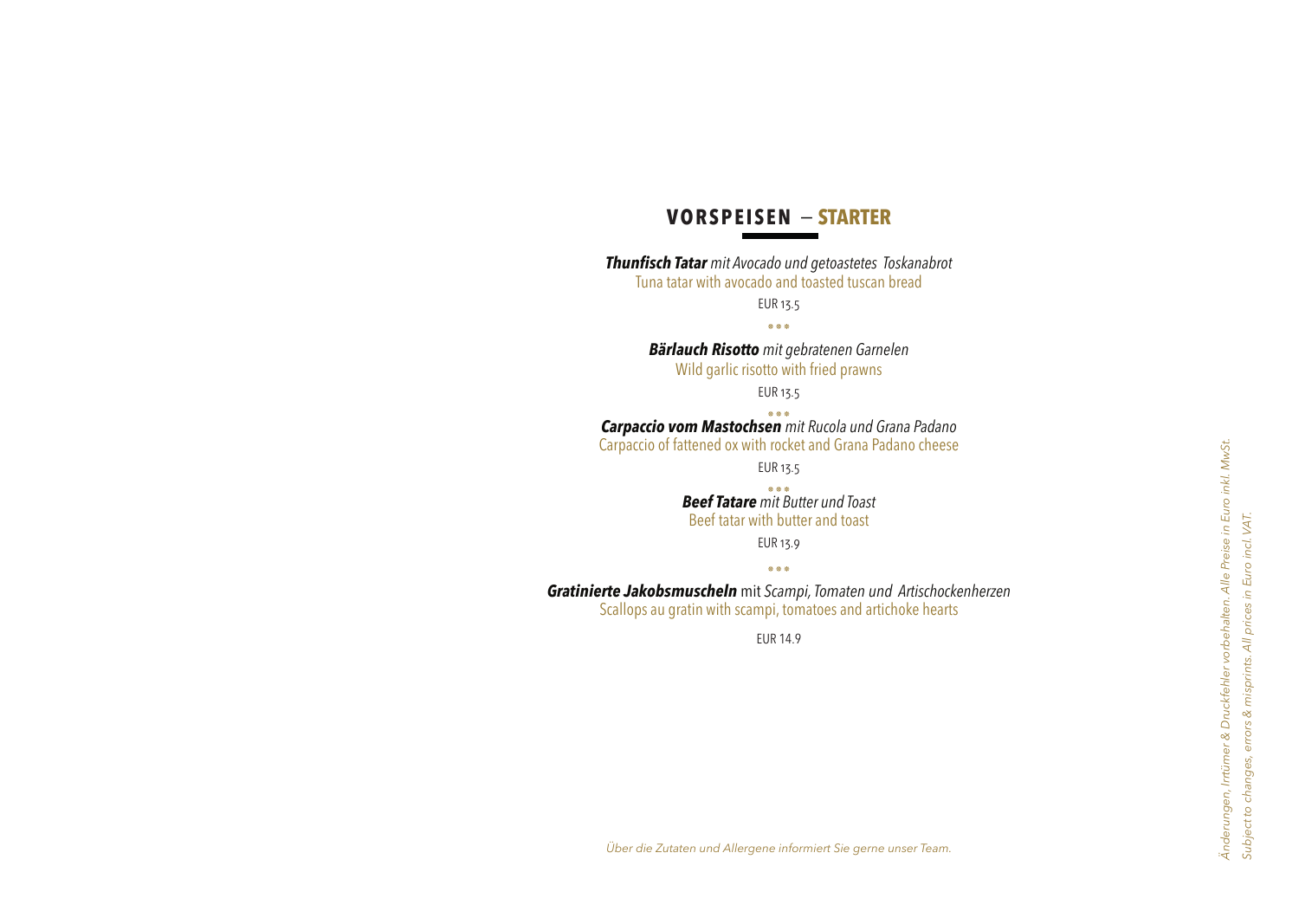# **VORSPEISEN** − **STARTER**

*Thunfisch Tatar mit Avocado und getoastetes Toskanabrot* Tuna tatar with avocado and toasted tuscan bread

EUR 13.5

٭٭٭

*Bärlauch Risotto mit gebratenen Garnelen* Wild garlic risotto with fried prawns

EUR 13.5

٭٭٭ *Carpaccio vom Mastochsen mit Rucola und Grana Padano* Carpaccio of fattened ox with rocket and Grana Padano cheese

EUR 13.5

٭٭٭ *Beef Tatare mit Butter und Toast* Beef tatar with butter and toast

EUR 13.9 ٭٭٭

*Gratinierte Jakobsmuscheln* mit *Scampi, Tomaten und Artischockenherzen*  Scallops au gratin with scampi, tomatoes and artichoke hearts

EUR 14.9

*Über die Zutaten und Allergene informiert Sie gerne unser Team.*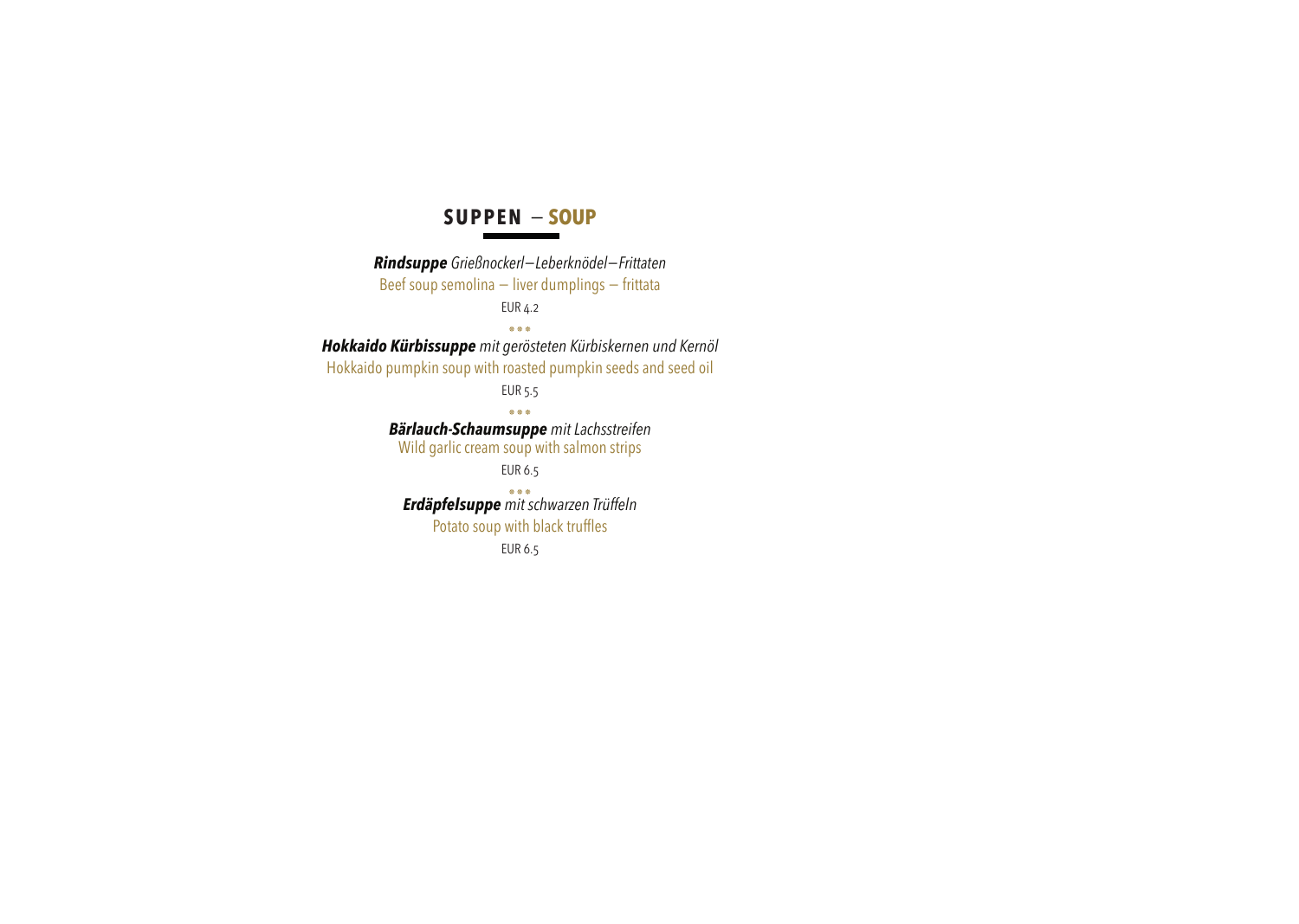#### **SUPPEN** − **SOUP**

*Rindsuppe Grießnockerl−Leberknödel−Frittaten* Beef soup semolina – liver dumplings – frittata EUR 4.2 ٭٭٭ *Hokkaido Kürbissuppe mit gerösteten Kürbiskernen und Kernöl* Hokkaido pumpkin soup with roasted pumpkin seeds and seed oil EUR 5.5 ٭٭٭ *Bärlauch-Schaumsuppe mit Lachsstreifen* Wild garlic cream soup with salmon strips EUR 6.5 ٭٭٭ *Erdäpfelsuppe mit schwarzen Trüffeln* Potato soup with black truffles EUR 6.5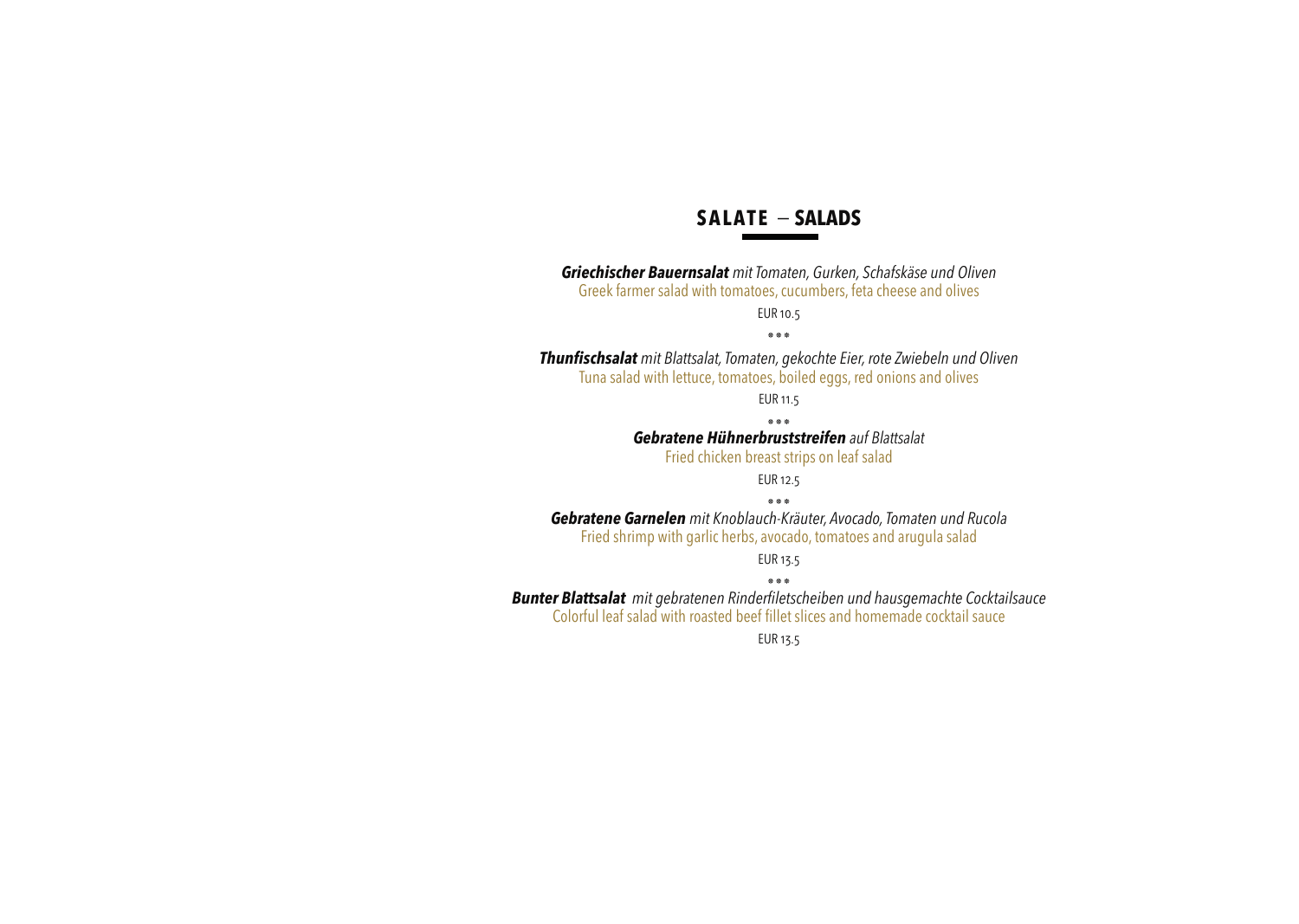## **SALATE** − **SALADS**

*Griechischer Bauernsalat mit Tomaten, Gurken, Schafskäse und Oliven* Greek farmer salad with tomatoes, cucumbers, feta cheese and olives EUR 10.5 ٭٭٭ *Thunfischsalat mit Blattsalat, Tomaten, gekochte Eier, rote Zwiebeln und Oliven* Tuna salad with lettuce, tomatoes, boiled eggs, red onions and olives EUR 11.5

٭٭٭ *Gebratene Hühnerbruststreifen auf Blattsalat*

Fried chicken breast strips on leaf salad

EUR 12.5

٭٭٭ *Gebratene Garnelen mit Knoblauch-Kräuter, Avocado, Tomaten und Rucola* Fried shrimp with garlic herbs, avocado, tomatoes and arugula salad

EUR 13.5

٭٭٭ *Bunter Blattsalat mit gebratenen Rinderfiletscheiben und hausgemachte Cocktailsauce* Colorful leaf salad with roasted beef fillet slices and homemade cocktail sauce

EUR 13.5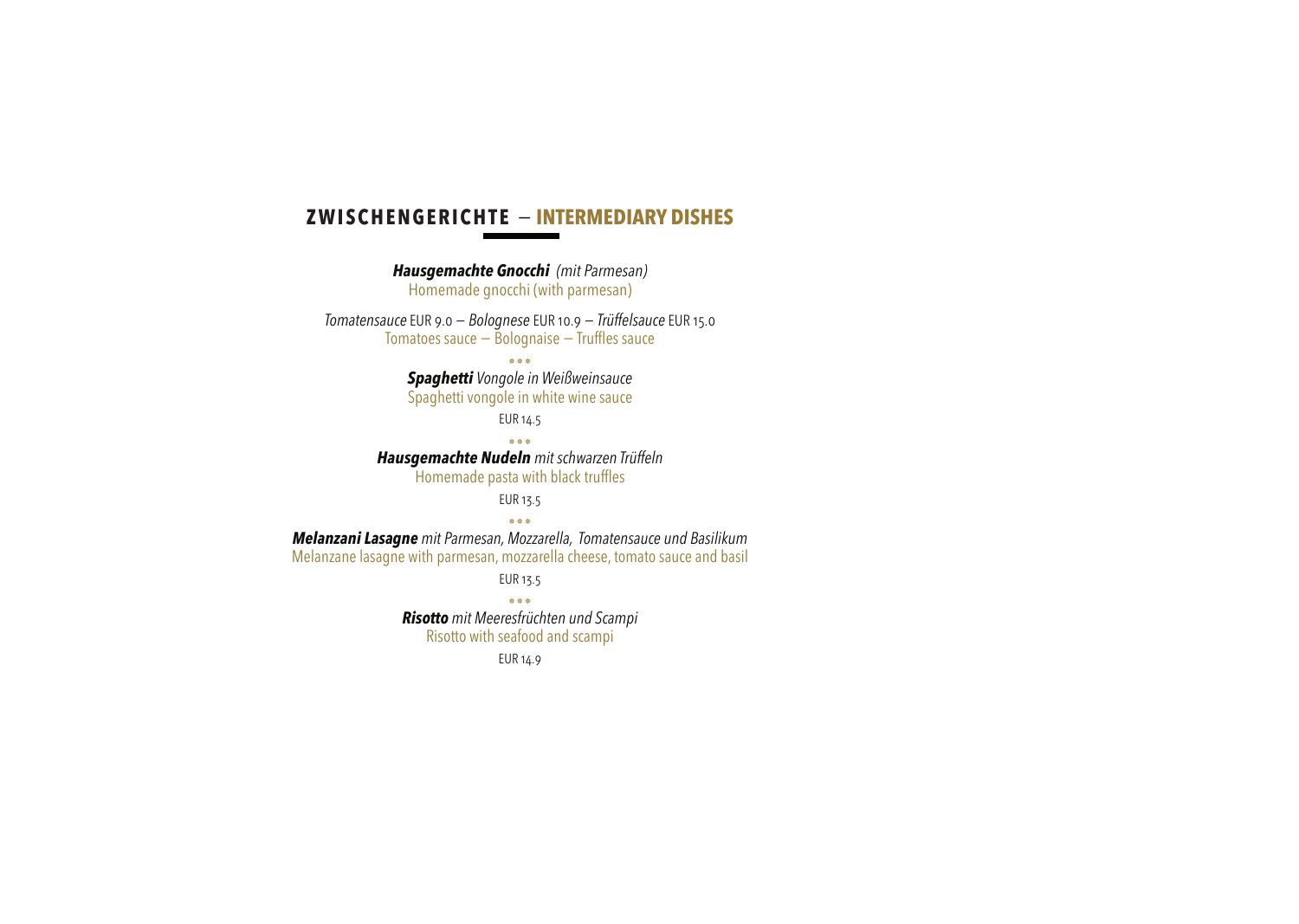#### **ZWISCHENGERICHTE** − **INTERMEDIARY DISHES**

*Hausgemachte Gnocchi (mit Parmesan)* Homemade gnocchi (with parmesan) *Tomatensauce* EUR 9.0 *− Bolognese* EUR 10.9 *− Trüffelsauce* EUR 15.0 Tomatoes sauce − Bolognaise − Truffles sauce ٭٭٭ *Spaghetti Vongole in Weißweinsauce* Spaghetti vongole in white wine sauce EUR 14.5 ٭٭٭ *Hausgemachte Nudeln mit schwarzen Trüffeln* Homemade pasta with black truffles EUR 13.5 ٭٭٭ *Melanzani Lasagne mit Parmesan, Mozzarella, Tomatensauce und Basilikum* Melanzane lasagne with parmesan, mozzarella cheese, tomato sauce and basil EUR 13.5 ٭٭٭ *Risotto mit Meeresfrüchten und Scampi*

Risotto with seafood and scampi

EUR 14.9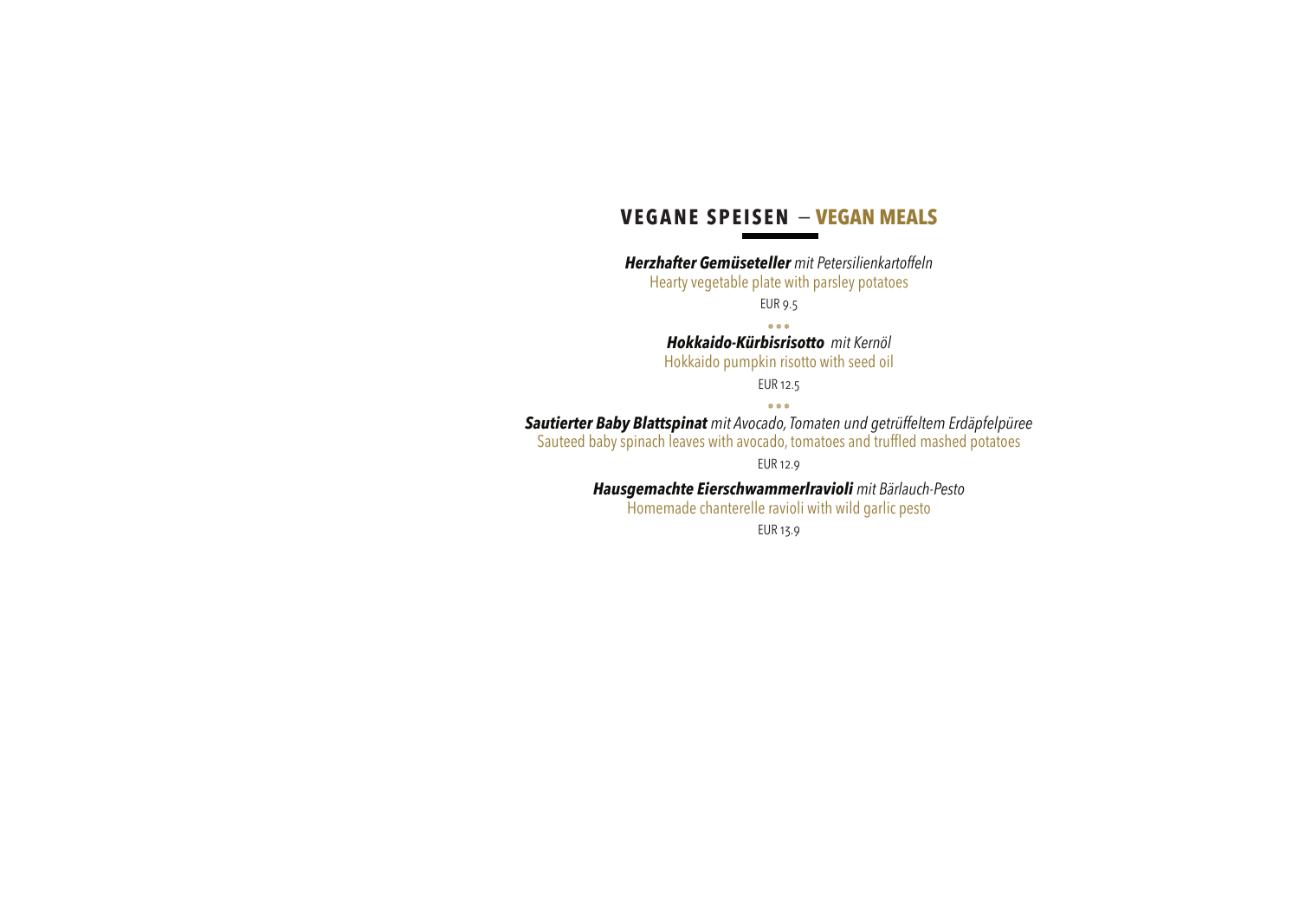#### **VEGANE SPEISEN** − **VEGAN MEALS**

*Herzhafter Gemüseteller mit Petersilienkartoffeln* Hearty vegetable plate with parsley potatoes EUR 9.5

٭٭٭ *Hokkaido-Kürbisrisotto mit Kernöl* Hokkaido pumpkin risotto with seed oil

EUR 12.5

٭٭٭ *Sautierter Baby Blattspinat mit Avocado, Tomaten und getrüffeltem Erdäpfelpüree* Sauteed baby spinach leaves with avocado, tomatoes and truffled mashed potatoes

EUR 12.9

*Hausgemachte Eierschwammerlravioli mit Bärlauch-Pesto*

Homemade chanterelle ravioli with wild garlic pesto

EUR 13.9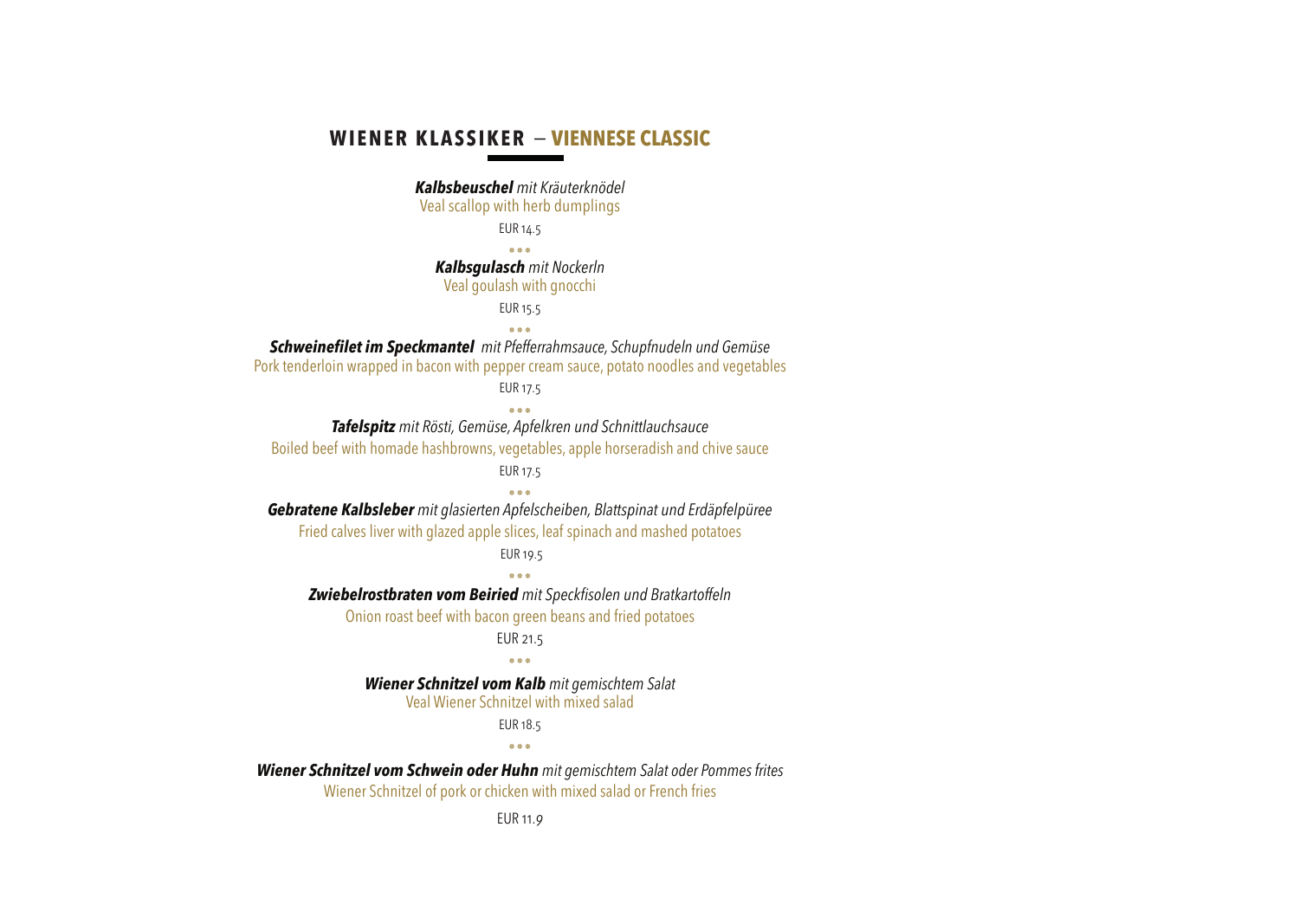#### **WIENER KLASSIKER** − **VIENNESE CLASSIC**

*Kalbsbeuschel mit Kräuterknödel* Veal scallop with herb dumplings EUR 14.5 ٭٭٭ *Kalbsgulasch mit Nockerln* Veal goulash with gnocchi EUR 15.5 ٭٭٭ *Schweinefilet im Speckmantel mit Pfefferrahmsauce, Schupfnudeln und Gemüse* Pork tenderloin wrapped in bacon with pepper cream sauce, potato noodles and vegetables EUR 17.5 ٭٭٭ *Tafelspitz mit Rösti, Gemüse, Apfelkren und Schnittlauchsauce* Boiled beef with homade hashbrowns, vegetables, apple horseradish and chive sauce EUR 17.5 ٭٭٭ *Gebratene Kalbsleber mit glasierten Apfelscheiben, Blattspinat und Erdäpfelpüree* Fried calves liver with glazed apple slices, leaf spinach and mashed potatoes EUR 19.5 ٭٭٭ *Zwiebelrostbraten vom Beiried mit Speckfisolen und Bratkartoffeln* Onion roast beef with bacon green beans and fried potatoes EUR 21.5 ٭٭٭ *Wiener Schnitzel vom Kalb mit gemischtem Salat* Veal Wiener Schnitzel with mixed salad EUR 18.5 ٭٭٭ *Wiener Schnitzel vom Schwein oder Huhn mit gemischtem Salat oder Pommes frites* Wiener Schnitzel of pork or chicken with mixed salad or French fries EUR 11.*9*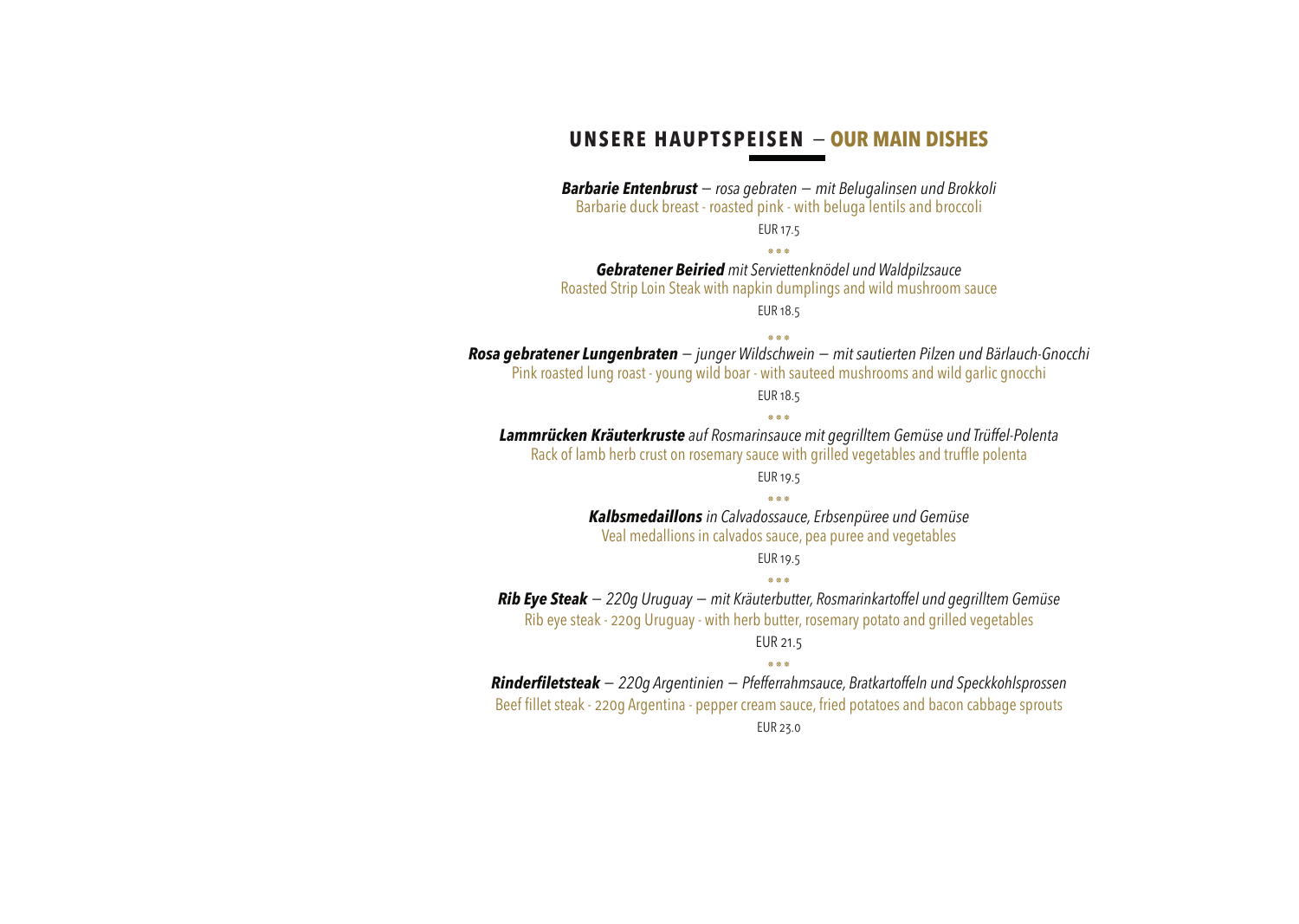#### **UNSERE HAUPTSPEISEN** − **OUR MAIN DISHES**

*Barbarie Entenbrust − rosa gebraten − mit Belugalinsen und Brokkoli* Barbarie duck breast - roasted pink - with beluga lentils and broccoli EUR 17.5

٭٭٭

*Gebratener Beiried mit Serviettenknödel und Waldpilzsauce* Roasted Strip Loin Steak with napkin dumplings and wild mushroom sauce

EUR 18.5

٭٭٭ *Rosa gebratener Lungenbraten − junger Wildschwein <sup>−</sup>mit sautierten Pilzen und Bärlauch-Gnocchi* Pink roasted lung roast - young wild boar - with sauteed mushrooms and wild garlic gnocchi EUR 18.5 ٭٭٭ *Lammrücken Kräuterkruste auf Rosmarinsauce mit gegrilltem Gemüse und Trüffel-Polenta* Rack of lamb herb crust on rosemary sauce with grilled vegetables and truffle polenta EUR 19.5 ٭٭٭ *Kalbsmedaillons in Calvadossauce, Erbsenpüree und Gemüse* Veal medallions in calvados sauce, pea puree and vegetables EUR 19.5 ٭٭٭ *Rib Eye Steak <sup>−</sup> 220g Uruguay − mit Kräuterbutter, Rosmarinkartoffel und gegrilltem Gemüse* Rib eye steak - 220g Uruguay - with herb butter, rosemary potato and grilled vegetables EUR 21.5 ٭٭٭

*Rinderfiletsteak − 220g Argentinien − Pfefferrahmsauce, Bratkartoffeln und Speckkohlsprossen*

Beef fillet steak - 220g Argentina - pepper cream sauce, fried potatoes and bacon cabbage sprouts

EUR 23.0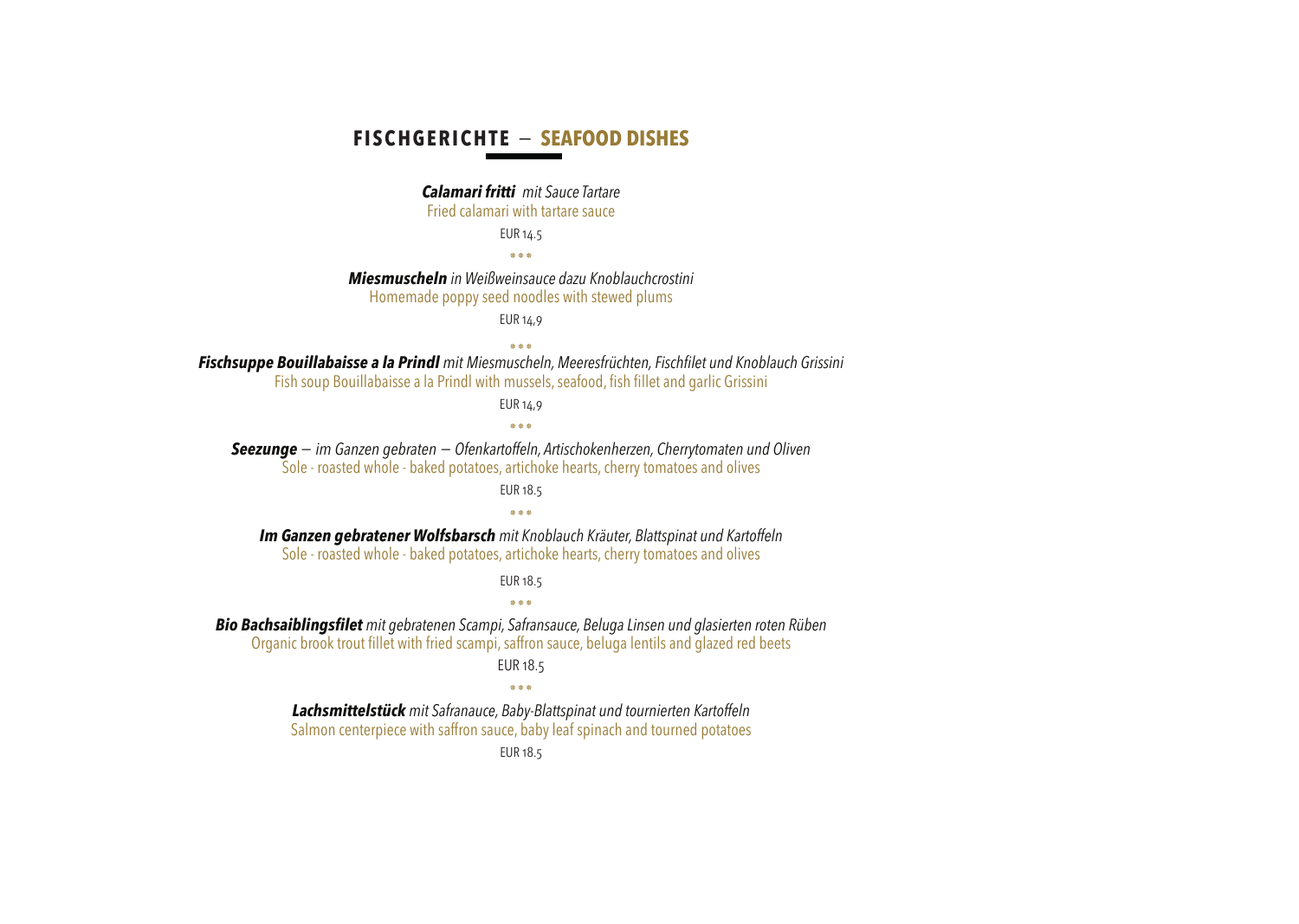#### **FISCHGERICHTE** − **SEAFOOD DISHES**

#### *Calamari fritti mit Sauce Tartare*

Fried calamari with tartare sauce

EUR 14.5

٭٭٭

*Miesmuscheln in Weißweinsauce dazu Knoblauchcrostini*

Homemade poppy seed noodles with stewed plums

EUR 14,9

٭٭٭ *Fischsuppe Bouillabaisse a la Prindl mit Miesmuscheln, Meeresfrüchten, Fischfilet und Knoblauch Grissini* Fish soup Bouillabaisse a la Prindl with mussels, seafood, fish fillet and garlic Grissini

EUR 14,9

٭٭٭

*Seezunge − im Ganzen gebraten − Ofenkartoffeln, Artischokenherzen, Cherrytomaten und Oliven* Sole - roasted whole - baked potatoes, artichoke hearts, cherry tomatoes and olives

EUR 18.5

٭٭٭

*Im Ganzen gebratener Wolfsbarsch mit Knoblauch Kräuter, Blattspinat und Kartoffeln* Sole - roasted whole - baked potatoes, artichoke hearts, cherry tomatoes and olives

EUR 18.5

٭٭٭

*Bio Bachsaiblingsfilet mit gebratenen Scampi, Safransauce, Beluga Linsen und glasierten roten Rüben*

Organic brook trout fillet with fried scampi, saffron sauce, beluga lentils and glazed red beets

EUR 18.5

٭٭٭

*Lachsmittelstück mit Safranauce, Baby-Blattspinat und tournierten Kartoffeln*

Salmon centerpiece with saffron sauce, baby leaf spinach and tourned potatoes

EUR 18.5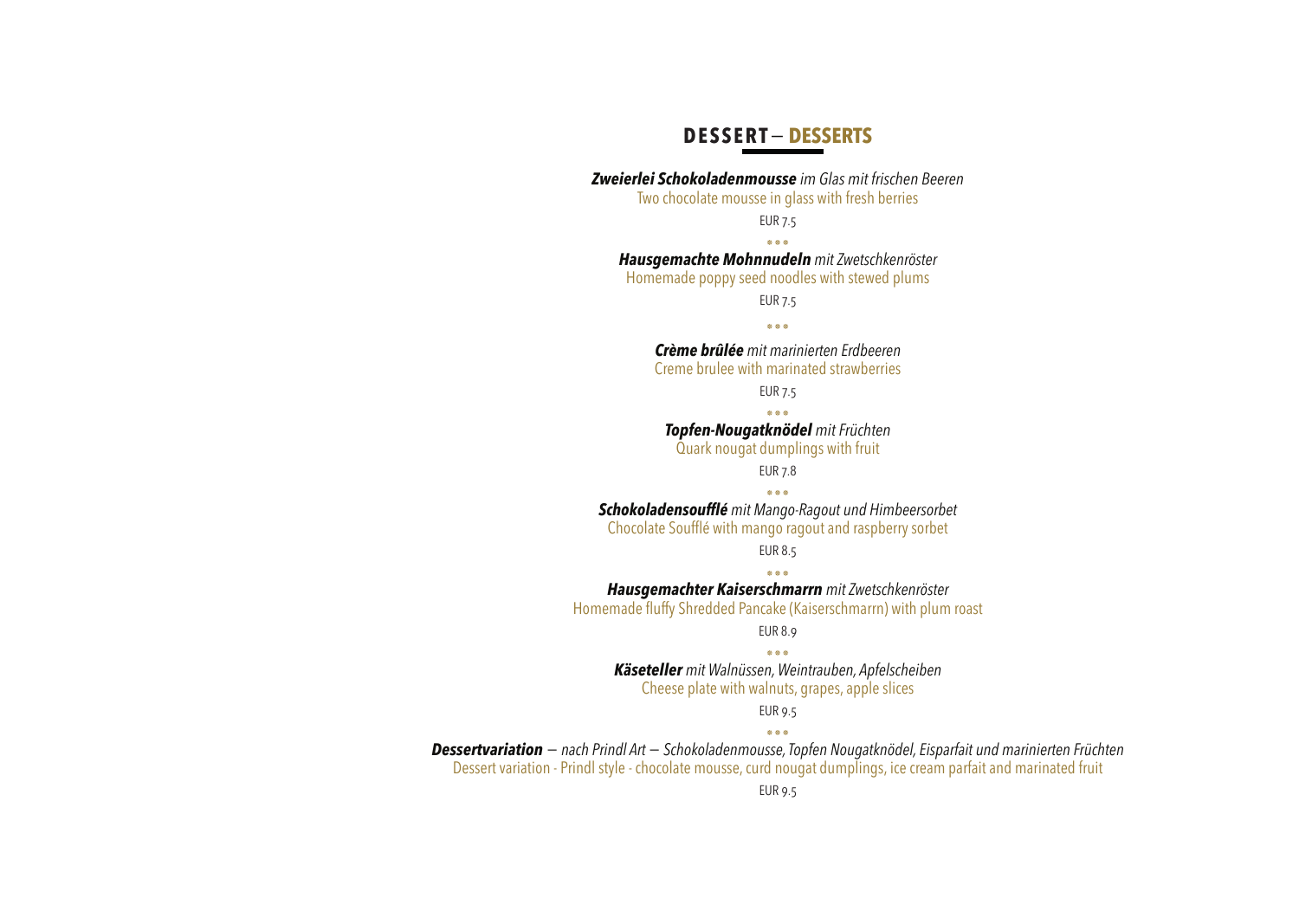## **DESSERT**− **DESSERTS**

*Zweierlei Schokoladenmousse im Glas mit frischen Beeren* Two chocolate mousse in glass with fresh berries EUR 7.5 ٭٭٭ *Hausgemachte Mohnnudeln mit Zwetschkenröster* Homemade poppy seed noodles with stewed plums EUR 7.5 ٭٭٭ *Crème brûlée mit marinierten Erdbeeren* Creme brulee with marinated strawberries EUR 7.5 ٭٭٭ *Topfen-Nougatknödel mit Früchten* Quark nougat dumplings with fruit EUR 7.8 ٭٭٭ *Schokoladensoufflé mit Mango-Ragout und Himbeersorbet* Chocolate Soufflé with mango ragout and raspberry sorbet EUR 8.5 ٭٭٭ *Hausgemachter Kaiserschmarrn mit Zwetschkenröster* Homemade fluffy Shredded Pancake (Kaiserschmarrn) with plum roast EUR 8.9 ٭٭٭ *Käseteller mit Walnüssen, Weintrauben, Apfelscheiben* Cheese plate with walnuts, grapes, apple slices EUR 9.5 ٭٭٭ *Dessertvariation <sup>−</sup>nach Prindl Art − Schokoladenmousse, Topfen Nougatknödel, Eisparfait und marinierten Früchten* Dessert variation - Prindl style - chocolate mousse, curd nougat dumplings, ice cream parfait and marinated fruit EUR 9.5